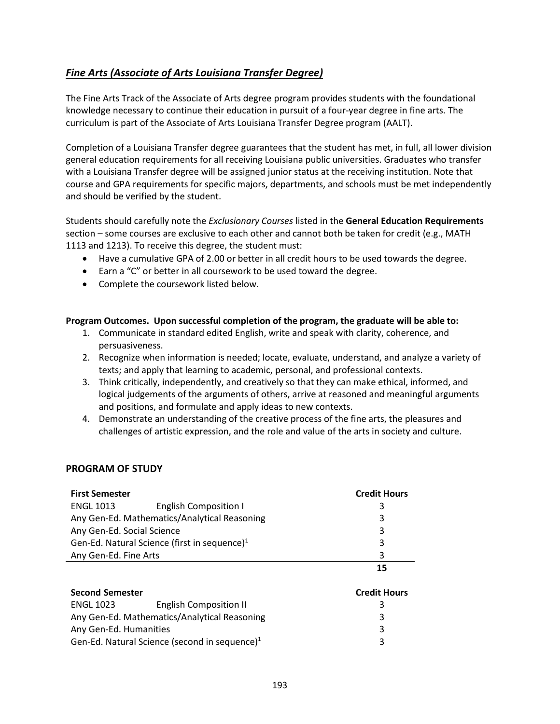# <span id="page-0-0"></span>*[Fine Arts \(Associate of Arts Louisiana](#page-0-0) Transfer Degree)*

The Fine Arts Track of the Associate of Arts degree program provides students with the foundational knowledge necessary to continue their education in pursuit of a four-year degree in fine arts. The curriculum is part of the Associate of Arts Louisiana Transfer Degree program (AALT).

Completion of a Louisiana Transfer degree guarantees that the student has met, in full, all lower division general education requirements for all receiving Louisiana public universities. Graduates who transfer with a Louisiana Transfer degree will be assigned junior status at the receiving institution. Note that course and GPA requirements for specific majors, departments, and schools must be met independently and should be verified by the student.

Students should carefully note the *Exclusionary Courses* listed in the **General Education Requirements** section – some courses are exclusive to each other and cannot both be taken for credit (e.g., MATH 1113 and 1213). To receive this degree, the student must:

- Have a cumulative GPA of 2.00 or better in all credit hours to be used towards the degree.
- Earn a "C" or better in all coursework to be used toward the degree.
- Complete the coursework listed below.

### **Program Outcomes. Upon successful completion of the program, the graduate will be able to:**

- 1. Communicate in standard edited English, write and speak with clarity, coherence, and persuasiveness.
- 2. Recognize when information is needed; locate, evaluate, understand, and analyze a variety of texts; and apply that learning to academic, personal, and professional contexts.
- 3. Think critically, independently, and creatively so that they can make ethical, informed, and logical judgements of the arguments of others, arrive at reasoned and meaningful arguments and positions, and formulate and apply ideas to new contexts.
- 4. Demonstrate an understanding of the creative process of the fine arts, the pleasures and challenges of artistic expression, and the role and value of the arts in society and culture.

### **PROGRAM OF STUDY**

| <b>First Semester</b>                                    |                               | <b>Credit Hours</b> |
|----------------------------------------------------------|-------------------------------|---------------------|
| <b>ENGL 1013</b>                                         | <b>English Composition I</b>  | 3                   |
| Any Gen-Ed. Mathematics/Analytical Reasoning             | 3                             |                     |
| Any Gen-Ed. Social Science                               | 3                             |                     |
| Gen-Ed. Natural Science (first in sequence) <sup>1</sup> | 3                             |                     |
| Any Gen-Ed. Fine Arts                                    | 3                             |                     |
|                                                          |                               | 15                  |
| <b>Second Semester</b>                                   | <b>Credit Hours</b>           |                     |
| <b>ENGL 1023</b>                                         | <b>English Composition II</b> | 3                   |
| Any Gen-Ed. Mathematics/Analytical Reasoning             | 3                             |                     |
| Any Gen-Ed. Humanities                                   | 3                             |                     |

Gen-Ed. Natural Science (second in sequence) $1$  3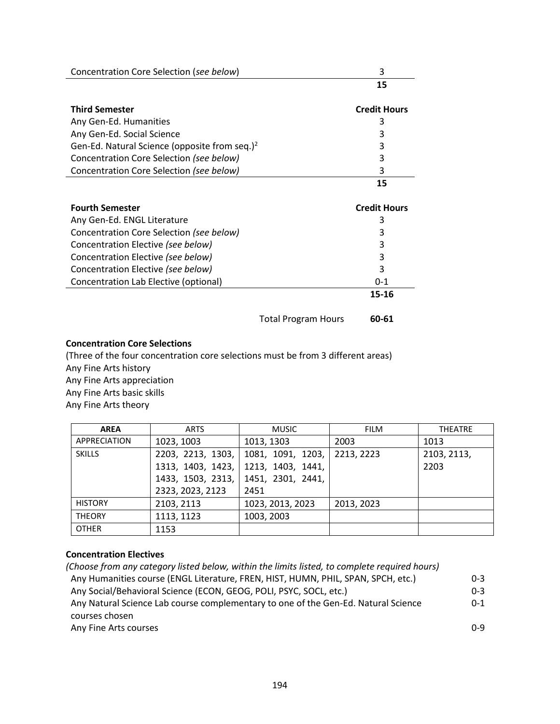| Concentration Core Selection (see below)                  |                            | 3                   |
|-----------------------------------------------------------|----------------------------|---------------------|
|                                                           |                            | 15                  |
|                                                           |                            | <b>Credit Hours</b> |
| <b>Third Semester</b>                                     |                            |                     |
| Any Gen-Ed. Humanities                                    |                            | 3                   |
| Any Gen-Ed. Social Science                                |                            | 3                   |
| Gen-Ed. Natural Science (opposite from seq.) <sup>2</sup> |                            | 3                   |
| Concentration Core Selection (see below)                  |                            | 3                   |
| Concentration Core Selection (see below)                  |                            | 3                   |
|                                                           |                            | 15                  |
| <b>Fourth Semester</b>                                    |                            | <b>Credit Hours</b> |
| Any Gen-Ed. ENGL Literature                               |                            | 3                   |
| Concentration Core Selection (see below)                  |                            | 3                   |
| Concentration Elective (see below)                        |                            | 3                   |
| Concentration Elective (see below)                        |                            | 3                   |
| Concentration Elective (see below)                        |                            | 3                   |
| Concentration Lab Elective (optional)                     |                            | $0 - 1$             |
|                                                           |                            | 15-16               |
|                                                           | <b>Total Program Hours</b> | 60-61               |

#### **Concentration Core Selections**

(Three of the four concentration core selections must be from 3 different areas) Any Fine Arts history Any Fine Arts appreciation Any Fine Arts basic skills Any Fine Arts theory

| <b>AREA</b>         | <b>ARTS</b>       | <b>MUSIC</b>      | <b>FILM</b> | <b>THEATRE</b> |
|---------------------|-------------------|-------------------|-------------|----------------|
| <b>APPRECIATION</b> | 1023, 1003        | 1013, 1303        | 2003        | 1013           |
| <b>SKILLS</b>       | 2203, 2213, 1303, | 1081, 1091, 1203, | 2213, 2223  | 2103, 2113,    |
|                     | 1313, 1403, 1423, | 1213, 1403, 1441, |             | 2203           |
|                     | 1433, 1503, 2313, | 1451, 2301, 2441, |             |                |
|                     | 2323, 2023, 2123  | 2451              |             |                |
| <b>HISTORY</b>      | 2103, 2113        | 1023, 2013, 2023  | 2013, 2023  |                |
| <b>THEORY</b>       | 1113, 1123        | 1003, 2003        |             |                |
| <b>OTHER</b>        | 1153              |                   |             |                |

## **Concentration Electives**

*(Choose from any category listed below, within the limits listed, to complete required hours)* Any Humanities course (ENGL Literature, FREN, HIST, HUMN, PHIL, SPAN, SPCH, etc.) 0-3 Any Social/Behavioral Science (ECON, GEOG, POLI, PSYC, SOCL, etc.) 0-3 Any Natural Science Lab course complementary to one of the Gen-Ed. Natural Science courses chosen 0-1 Any Fine Arts courses 0-9